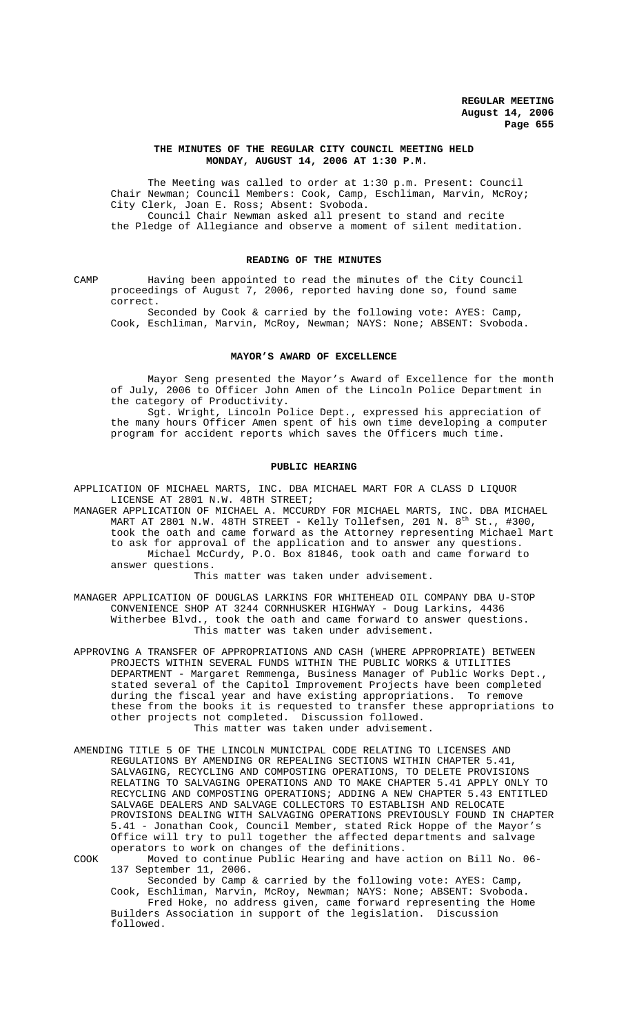### **THE MINUTES OF THE REGULAR CITY COUNCIL MEETING HELD MONDAY, AUGUST 14, 2006 AT 1:30 P.M.**

The Meeting was called to order at 1:30 p.m. Present: Council Chair Newman; Council Members: Cook, Camp, Eschliman, Marvin, McRoy; City Clerk, Joan E. Ross; Absent: Svoboda. Council Chair Newman asked all present to stand and recite the Pledge of Allegiance and observe a moment of silent meditation.

### **READING OF THE MINUTES**

CAMP Having been appointed to read the minutes of the City Council proceedings of August 7, 2006, reported having done so, found same correct.

Seconded by Cook & carried by the following vote: AYES: Camp, Cook, Eschliman, Marvin, McRoy, Newman; NAYS: None; ABSENT: Svoboda.

#### **MAYOR'S AWARD OF EXCELLENCE**

Mayor Seng presented the Mayor's Award of Excellence for the month of July, 2006 to Officer John Amen of the Lincoln Police Department in the category of Productivity.

Sgt. Wright, Lincoln Police Dept., expressed his appreciation of the many hours Officer Amen spent of his own time developing a computer program for accident reports which saves the Officers much time.

### **PUBLIC HEARING**

APPLICATION OF MICHAEL MARTS, INC. DBA MICHAEL MART FOR A CLASS D LIQUOR LICENSE AT 2801 N.W. 48TH STREET;

MANAGER APPLICATION OF MICHAEL A. MCCURDY FOR MICHAEL MARTS, INC. DBA MICHAEL MART AT 2801 N.W.  $48$ TH STREET - Kelly Tollefsen, 201 N.  $8^\mathrm{th}$  St., #300, took the oath and came forward as the Attorney representing Michael Mart to ask for approval of the application and to answer any questions. Michael McCurdy, P.O. Box 81846, took oath and came forward to answer questions.

This matter was taken under advisement.

MANAGER APPLICATION OF DOUGLAS LARKINS FOR WHITEHEAD OIL COMPANY DBA U-STOP CONVENIENCE SHOP AT 3244 CORNHUSKER HIGHWAY - Doug Larkins, 4436 Witherbee Blvd., took the oath and came forward to answer questions. This matter was taken under advisement.

APPROVING A TRANSFER OF APPROPRIATIONS AND CASH (WHERE APPROPRIATE) BETWEEN PROJECTS WITHIN SEVERAL FUNDS WITHIN THE PUBLIC WORKS & UTILITIES DEPARTMENT - Margaret Remmenga, Business Manager of Public Works Dept., stated several of the Capitol Improvement Projects have been completed during the fiscal year and have existing appropriations. To remove these from the books it is requested to transfer these appropriations to other projects not completed. Discussion followed. This matter was taken under advisement.

AMENDING TITLE 5 OF THE LINCOLN MUNICIPAL CODE RELATING TO LICENSES AND REGULATIONS BY AMENDING OR REPEALING SECTIONS WITHIN CHAPTER 5.41, SALVAGING, RECYCLING AND COMPOSTING OPERATIONS, TO DELETE PROVISIONS RELATING TO SALVAGING OPERATIONS AND TO MAKE CHAPTER 5.41 APPLY ONLY TO RECYCLING AND COMPOSTING OPERATIONS; ADDING A NEW CHAPTER 5.43 ENTITLED SALVAGE DEALERS AND SALVAGE COLLECTORS TO ESTABLISH AND RELOCATE PROVISIONS DEALING WITH SALVAGING OPERATIONS PREVIOUSLY FOUND IN CHAPTER 5.41 - Jonathan Cook, Council Member, stated Rick Hoppe of the Mayor's Office will try to pull together the affected departments and salvage operators to work on changes of the definitions.

COOK Moved to continue Public Hearing and have action on Bill No. 06- 137 September 11, 2006.

Seconded by Camp & carried by the following vote: AYES: Camp, Cook, Eschliman, Marvin, McRoy, Newman; NAYS: None; ABSENT: Svoboda.

Fred Hoke, no address given, came forward representing the Home Builders Association in support of the legislation. Discussion followed.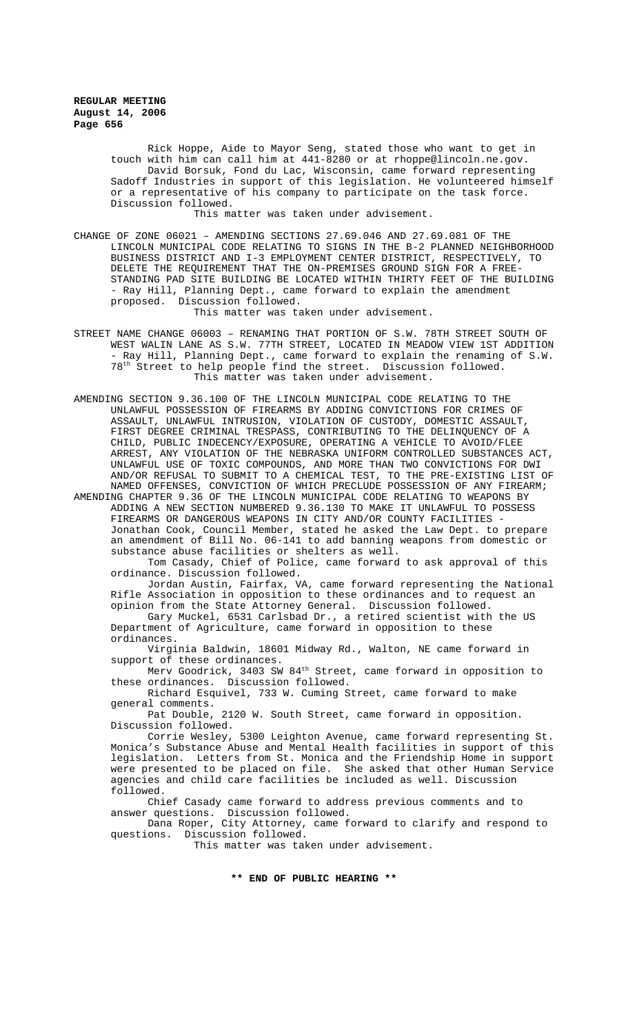Rick Hoppe, Aide to Mayor Seng, stated those who want to get in touch with him can call him at 441-8280 or at rhoppe@lincoln.ne.gov. David Borsuk, Fond du Lac, Wisconsin, came forward representing Sadoff Industries in support of this legislation. He volunteered himself or a representative of his company to participate on the task force. Discussion followed.

This matter was taken under advisement.

CHANGE OF ZONE 06021 – AMENDING SECTIONS 27.69.046 AND 27.69.081 OF THE LINCOLN MUNICIPAL CODE RELATING TO SIGNS IN THE B-2 PLANNED NEIGHBORHOOD BUSINESS DISTRICT AND I-3 EMPLOYMENT CENTER DISTRICT, RESPECTIVELY, TO DELETE THE REQUIREMENT THAT THE ON-PREMISES GROUND SIGN FOR A FREE-STANDING PAD SITE BUILDING BE LOCATED WITHIN THIRTY FEET OF THE BUILDING - Ray Hill, Planning Dept., came forward to explain the amendment proposed. Discussion followed.

This matter was taken under advisement.

- STREET NAME CHANGE 06003 RENAMING THAT PORTION OF S.W. 78TH STREET SOUTH OF WEST WALIN LANE AS S.W. 77TH STREET, LOCATED IN MEADOW VIEW 1ST ADDITION - Ray Hill, Planning Dept., came forward to explain the renaming of S.W. 78th Street to help people find the street. Discussion followed. This matter was taken under advisement.
- AMENDING SECTION 9.36.100 OF THE LINCOLN MUNICIPAL CODE RELATING TO THE UNLAWFUL POSSESSION OF FIREARMS BY ADDING CONVICTIONS FOR CRIMES OF ASSAULT, UNLAWFUL INTRUSION, VIOLATION OF CUSTODY, DOMESTIC ASSAULT, FIRST DEGREE CRIMINAL TRESPASS, CONTRIBUTING TO THE DELINQUENCY OF A CHILD, PUBLIC INDECENCY/EXPOSURE, OPERATING A VEHICLE TO AVOID/FLEE ARREST, ANY VIOLATION OF THE NEBRASKA UNIFORM CONTROLLED SUBSTANCES ACT, UNLAWFUL USE OF TOXIC COMPOUNDS, AND MORE THAN TWO CONVICTIONS FOR DWI AND/OR REFUSAL TO SUBMIT TO A CHEMICAL TEST, TO THE PRE-EXISTING LIST OF NAMED OFFENSES, CONVICTION OF WHICH PRECLUDE POSSESSION OF ANY FIREARM;

AMENDING CHAPTER 9.36 OF THE LINCOLN MUNICIPAL CODE RELATING TO WEAPONS BY ADDING A NEW SECTION NUMBERED 9.36.130 TO MAKE IT UNLAWFUL TO POSSESS FIREARMS OR DANGEROUS WEAPONS IN CITY AND/OR COUNTY FACILITIES - Jonathan Cook, Council Member, stated he asked the Law Dept. to prepare an amendment of Bill No. 06-141 to add banning weapons from domestic or substance abuse facilities or shelters as well.

Tom Casady, Chief of Police, came forward to ask approval of this ordinance. Discussion followed.

Jordan Austin, Fairfax, VA, came forward representing the National Rifle Association in opposition to these ordinances and to request an opinion from the State Attorney General. Discussion followed.

Gary Muckel, 6531 Carlsbad Dr., a retired scientist with the US Department of Agriculture, came forward in opposition to these ordinances.

Virginia Baldwin, 18601 Midway Rd., Walton, NE came forward in support of these ordinances.

Merv Goodrick, 3403 SW 84<sup>th</sup> Street, came forward in opposition to these ordinances. Discussion followed.

Richard Esquivel, 733 W. Cuming Street, came forward to make general comments.

Pat Double, 2120 W. South Street, came forward in opposition. Discussion followed.

Corrie Wesley, 5300 Leighton Avenue, came forward representing St. Monica's Substance Abuse and Mental Health facilities in support of this legislation. Letters from St. Monica and the Friendship Home in support were presented to be placed on file. She asked that other Human Service agencies and child care facilities be included as well. Discussion followed.

Chief Casady came forward to address previous comments and to answer questions. Discussion followed.

Dana Roper, City Attorney, came forward to clarify and respond to questions. Discussion followed.

This matter was taken under advisement.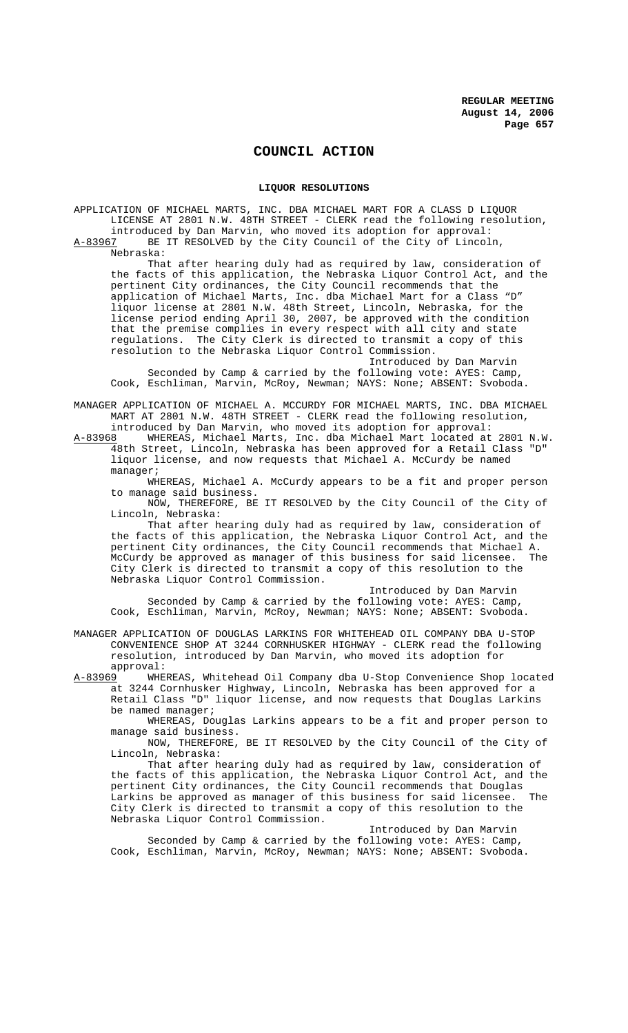# **COUNCIL ACTION**

#### **LIQUOR RESOLUTIONS**

APPLICATION OF MICHAEL MARTS, INC. DBA MICHAEL MART FOR A CLASS D LIQUOR LICENSE AT 2801 N.W. 48TH STREET - CLERK read the following resolution,

introduced by Dan Marvin, who moved its adoption for approval:<br>A-83967 BE IT RESOLVED by the City Council of the City of Lincol: BE IT RESOLVED by the City Council of the City of Lincoln,

Nebraska:

That after hearing duly had as required by law, consideration of the facts of this application, the Nebraska Liquor Control Act, and the pertinent City ordinances, the City Council recommends that the application of Michael Marts, Inc. dba Michael Mart for a Class "D" liquor license at 2801 N.W. 48th Street, Lincoln, Nebraska, for the license period ending April 30, 2007, be approved with the condition that the premise complies in every respect with all city and state regulations. The City Clerk is directed to transmit a copy of this resolution to the Nebraska Liquor Control Commission.

Introduced by Dan Marvin Seconded by Camp & carried by the following vote: AYES: Camp, Cook, Eschliman, Marvin, McRoy, Newman; NAYS: None; ABSENT: Svoboda.

MANAGER APPLICATION OF MICHAEL A. MCCURDY FOR MICHAEL MARTS, INC. DBA MICHAEL MART AT 2801 N.W. 48TH STREET - CLERK read the following resolution,

introduced by Dan Marvin, who moved its adoption for approval:<br>A-83968 WHEREAS, Michael Marts, Inc. dba Michael Mart located at WHEREAS, Michael Marts, Inc. dba Michael Mart located at 2801 N.W. 48th Street, Lincoln, Nebraska has been approved for a Retail Class "D" liquor license, and now requests that Michael A. McCurdy be named manager;

WHEREAS, Michael A. McCurdy appears to be a fit and proper person to manage said business.

NOW, THEREFORE, BE IT RESOLVED by the City Council of the City of Lincoln, Nebraska:

That after hearing duly had as required by law, consideration of the facts of this application, the Nebraska Liquor Control Act, and the pertinent City ordinances, the City Council recommends that Michael A. McCurdy be approved as manager of this business for said licensee. The City Clerk is directed to transmit a copy of this resolution to the Nebraska Liquor Control Commission.

Introduced by Dan Marvin Seconded by Camp & carried by the following vote: AYES: Camp, Cook, Eschliman, Marvin, McRoy, Newman; NAYS: None; ABSENT: Svoboda.

MANAGER APPLICATION OF DOUGLAS LARKINS FOR WHITEHEAD OIL COMPANY DBA U-STOP CONVENIENCE SHOP AT 3244 CORNHUSKER HIGHWAY - CLERK read the following resolution, introduced by Dan Marvin, who moved its adoption for

approval:<br>A-83969 WHE A-83969 WHEREAS, Whitehead Oil Company dba U-Stop Convenience Shop located at 3244 Cornhusker Highway, Lincoln, Nebraska has been approved for a Retail Class "D" liquor license, and now requests that Douglas Larkins be named manager;

WHEREAS, Douglas Larkins appears to be a fit and proper person to manage said business.

NOW, THEREFORE, BE IT RESOLVED by the City Council of the City of Lincoln, Nebraska:

That after hearing duly had as required by law, consideration of the facts of this application, the Nebraska Liquor Control Act, and the pertinent City ordinances, the City Council recommends that Douglas Larkins be approved as manager of this business for said licensee. The City Clerk is directed to transmit a copy of this resolution to the Nebraska Liquor Control Commission.

Introduced by Dan Marvin Seconded by Camp & carried by the following vote: AYES: Camp, Cook, Eschliman, Marvin, McRoy, Newman; NAYS: None; ABSENT: Svoboda.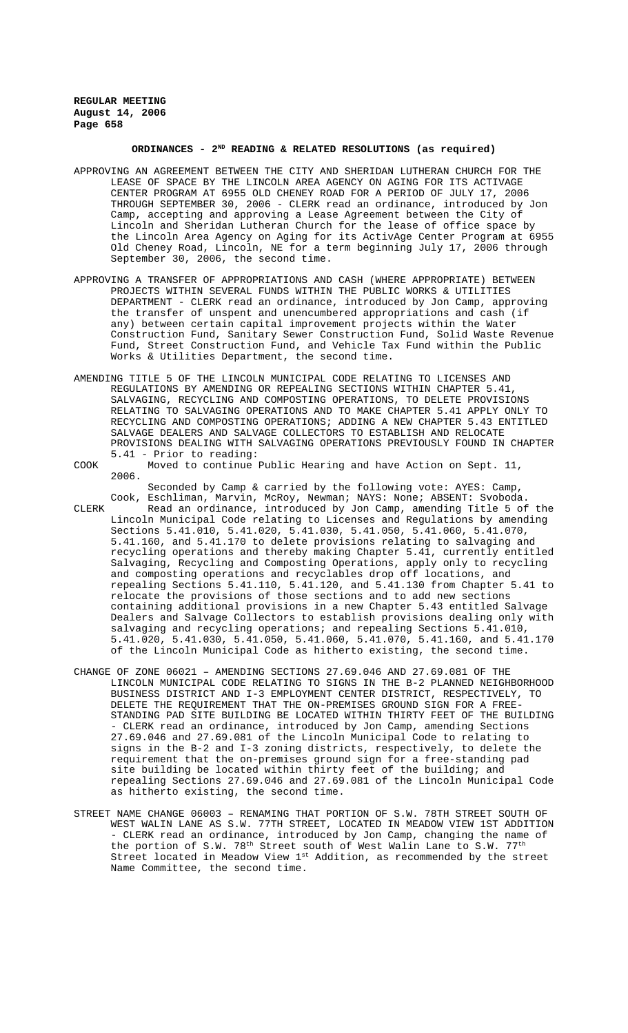# **ORDINANCES - 2ND READING & RELATED RESOLUTIONS (as required)**

- APPROVING AN AGREEMENT BETWEEN THE CITY AND SHERIDAN LUTHERAN CHURCH FOR THE LEASE OF SPACE BY THE LINCOLN AREA AGENCY ON AGING FOR ITS ACTIVAGE CENTER PROGRAM AT 6955 OLD CHENEY ROAD FOR A PERIOD OF JULY 17, 2006 THROUGH SEPTEMBER 30, 2006 - CLERK read an ordinance, introduced by Jon Camp, accepting and approving a Lease Agreement between the City of Lincoln and Sheridan Lutheran Church for the lease of office space by the Lincoln Area Agency on Aging for its ActivAge Center Program at 6955 Old Cheney Road, Lincoln, NE for a term beginning July 17, 2006 through September 30, 2006, the second time.
- APPROVING A TRANSFER OF APPROPRIATIONS AND CASH (WHERE APPROPRIATE) BETWEEN PROJECTS WITHIN SEVERAL FUNDS WITHIN THE PUBLIC WORKS & UTILITIES DEPARTMENT - CLERK read an ordinance, introduced by Jon Camp, approving the transfer of unspent and unencumbered appropriations and cash (if any) between certain capital improvement projects within the Water Construction Fund, Sanitary Sewer Construction Fund, Solid Waste Revenue Fund, Street Construction Fund, and Vehicle Tax Fund within the Public Works & Utilities Department, the second time.
- AMENDING TITLE 5 OF THE LINCOLN MUNICIPAL CODE RELATING TO LICENSES AND REGULATIONS BY AMENDING OR REPEALING SECTIONS WITHIN CHAPTER 5.41, SALVAGING, RECYCLING AND COMPOSTING OPERATIONS, TO DELETE PROVISIONS RELATING TO SALVAGING OPERATIONS AND TO MAKE CHAPTER 5.41 APPLY ONLY TO RECYCLING AND COMPOSTING OPERATIONS; ADDING A NEW CHAPTER 5.43 ENTITLED SALVAGE DEALERS AND SALVAGE COLLECTORS TO ESTABLISH AND RELOCATE PROVISIONS DEALING WITH SALVAGING OPERATIONS PREVIOUSLY FOUND IN CHAPTER 5.41 - Prior to reading:
- COOK Moved to continue Public Hearing and have Action on Sept. 11, 2006.
- Seconded by Camp & carried by the following vote: AYES: Camp, Cook, Eschliman, Marvin, McRoy, Newman; NAYS: None; ABSENT: Svoboda. CLERK Read an ordinance, introduced by Jon Camp, amending Title 5 of the Lincoln Municipal Code relating to Licenses and Regulations by amending Sections 5.41.010, 5.41.020, 5.41.030, 5.41.050, 5.41.060, 5.41.070, 5.41.160, and 5.41.170 to delete provisions relating to salvaging and recycling operations and thereby making Chapter 5.41, currently entitled Salvaging, Recycling and Composting Operations, apply only to recycling and composting operations and recyclables drop off locations, and repealing Sections 5.41.110, 5.41.120, and 5.41.130 from Chapter 5.41 to relocate the provisions of those sections and to add new sections containing additional provisions in a new Chapter 5.43 entitled Salvage Dealers and Salvage Collectors to establish provisions dealing only with salvaging and recycling operations; and repealing Sections 5.41.010, 5.41.020, 5.41.030, 5.41.050, 5.41.060, 5.41.070, 5.41.160, and 5.41.170 of the Lincoln Municipal Code as hitherto existing, the second time.
- CHANGE OF ZONE 06021 AMENDING SECTIONS 27.69.046 AND 27.69.081 OF THE LINCOLN MUNICIPAL CODE RELATING TO SIGNS IN THE B-2 PLANNED NEIGHBORHOOD BUSINESS DISTRICT AND I-3 EMPLOYMENT CENTER DISTRICT, RESPECTIVELY, TO DELETE THE REQUIREMENT THAT THE ON-PREMISES GROUND SIGN FOR A FREE-STANDING PAD SITE BUILDING BE LOCATED WITHIN THIRTY FEET OF THE BUILDING - CLERK read an ordinance, introduced by Jon Camp, amending Sections 27.69.046 and 27.69.081 of the Lincoln Municipal Code to relating to signs in the B-2 and I-3 zoning districts, respectively, to delete the requirement that the on-premises ground sign for a free-standing pad site building be located within thirty feet of the building; and repealing Sections 27.69.046 and 27.69.081 of the Lincoln Municipal Code as hitherto existing, the second time.
- STREET NAME CHANGE 06003 RENAMING THAT PORTION OF S.W. 78TH STREET SOUTH OF WEST WALIN LANE AS S.W. 77TH STREET, LOCATED IN MEADOW VIEW 1ST ADDITION - CLERK read an ordinance, introduced by Jon Camp, changing the name of the portion of S.W.  $78^{\text{th}}$  Street south of West Walin Lane to S.W.  $77^{\text{th}}$ Street located in Meadow View 1st Addition, as recommended by the street Name Committee, the second time.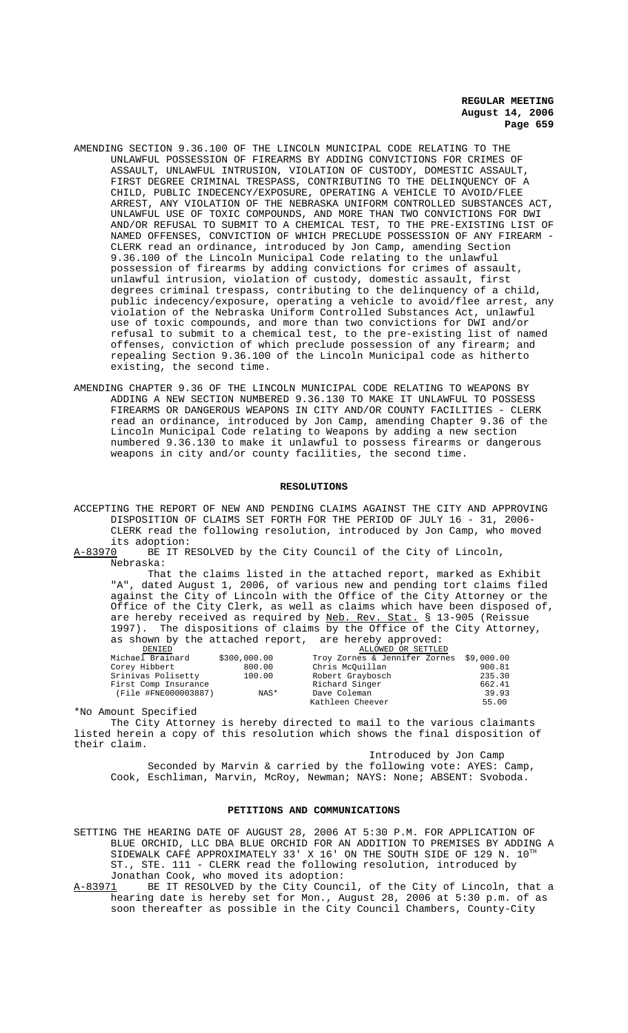- AMENDING SECTION 9.36.100 OF THE LINCOLN MUNICIPAL CODE RELATING TO THE UNLAWFUL POSSESSION OF FIREARMS BY ADDING CONVICTIONS FOR CRIMES OF ASSAULT, UNLAWFUL INTRUSION, VIOLATION OF CUSTODY, DOMESTIC ASSAULT, FIRST DEGREE CRIMINAL TRESPASS, CONTRIBUTING TO THE DELINQUENCY OF A CHILD, PUBLIC INDECENCY/EXPOSURE, OPERATING A VEHICLE TO AVOID/FLEE ARREST, ANY VIOLATION OF THE NEBRASKA UNIFORM CONTROLLED SUBSTANCES ACT, UNLAWFUL USE OF TOXIC COMPOUNDS, AND MORE THAN TWO CONVICTIONS FOR DWI AND/OR REFUSAL TO SUBMIT TO A CHEMICAL TEST, TO THE PRE-EXISTING LIST OF NAMED OFFENSES, CONVICTION OF WHICH PRECLUDE POSSESSION OF ANY FIREARM - CLERK read an ordinance, introduced by Jon Camp, amending Section 9.36.100 of the Lincoln Municipal Code relating to the unlawful possession of firearms by adding convictions for crimes of assault, unlawful intrusion, violation of custody, domestic assault, first degrees criminal trespass, contributing to the delinquency of a child, public indecency/exposure, operating a vehicle to avoid/flee arrest, any violation of the Nebraska Uniform Controlled Substances Act, unlawful use of toxic compounds, and more than two convictions for DWI and/or refusal to submit to a chemical test, to the pre-existing list of named offenses, conviction of which preclude possession of any firearm; and repealing Section 9.36.100 of the Lincoln Municipal code as hitherto existing, the second time.
- AMENDING CHAPTER 9.36 OF THE LINCOLN MUNICIPAL CODE RELATING TO WEAPONS BY ADDING A NEW SECTION NUMBERED 9.36.130 TO MAKE IT UNLAWFUL TO POSSESS FIREARMS OR DANGEROUS WEAPONS IN CITY AND/OR COUNTY FACILITIES - CLERK read an ordinance, introduced by Jon Camp, amending Chapter 9.36 of the Lincoln Municipal Code relating to Weapons by adding a new section numbered 9.36.130 to make it unlawful to possess firearms or dangerous weapons in city and/or county facilities, the second time.

#### **RESOLUTIONS**

ACCEPTING THE REPORT OF NEW AND PENDING CLAIMS AGAINST THE CITY AND APPROVING DISPOSITION OF CLAIMS SET FORTH FOR THE PERIOD OF JULY 16 - 31, 2006- CLERK read the following resolution, introduced by Jon Camp, who moved its adoption:<br>A-83970 BE IT R

BE IT RESOLVED by the City Council of the City of Lincoln, Nebraska:

That the claims listed in the attached report, marked as Exhibit "A", dated August 1, 2006, of various new and pending tort claims filed against the City of Lincoln with the Office of the City Attorney or the Office of the City Clerk, as well as claims which have been disposed of, are hereby received as required by <u>Neb. Rev. Stat.</u> § 13-905 (Reissue are hereby received as required by Neb. Rev. 1997). The dispositions of claims by the Office of the City Attorney, as shown by the attached report, are hereby approved:

| DENTED               |              | ALLOWED OK SETTLED                       |        |
|----------------------|--------------|------------------------------------------|--------|
| Michael Brainard     | \$300,000.00 | Troy Zornes & Jennifer Zornes \$9,000.00 |        |
| Corey Hibbert        | 800.00       | Chris McOuillan                          | 900.81 |
| Srinivas Polisetty   | 100.00       | Robert Graybosch                         | 235.30 |
| First Comp Insurance |              | Richard Singer                           | 662.41 |
| (File #FNE000003887) | NAS*         | Dave Coleman                             | 39.93  |
|                      |              | Kathleen Cheever                         | 55.00  |

\*No Amount Specified

The City Attorney is hereby directed to mail to the various claimants listed herein a copy of this resolution which shows the final disposition of their claim.

Introduced by Jon Camp Seconded by Marvin & carried by the following vote: AYES: Camp, Cook, Eschliman, Marvin, McRoy, Newman; NAYS: None; ABSENT: Svoboda.

#### **PETITIONS AND COMMUNICATIONS**

SETTING THE HEARING DATE OF AUGUST 28, 2006 AT 5:30 P.M. FOR APPLICATION OF BLUE ORCHID, LLC DBA BLUE ORCHID FOR AN ADDITION TO PREMISES BY ADDING A SIDEWALK CAFÉ APPROXIMATELY 33' X 16' ON THE SOUTH SIDE OF 129 N.  $10^{TH}$ ST., STE. 111 - CLERK read the following resolution, introduced by Jonathan Cook, who moved its adoption:

A-83971 BE IT RESOLVED by the City Council, of the City of Lincoln, that a hearing date is hereby set for Mon., August 28, 2006 at 5:30 p.m. of as soon thereafter as possible in the City Council Chambers, County-City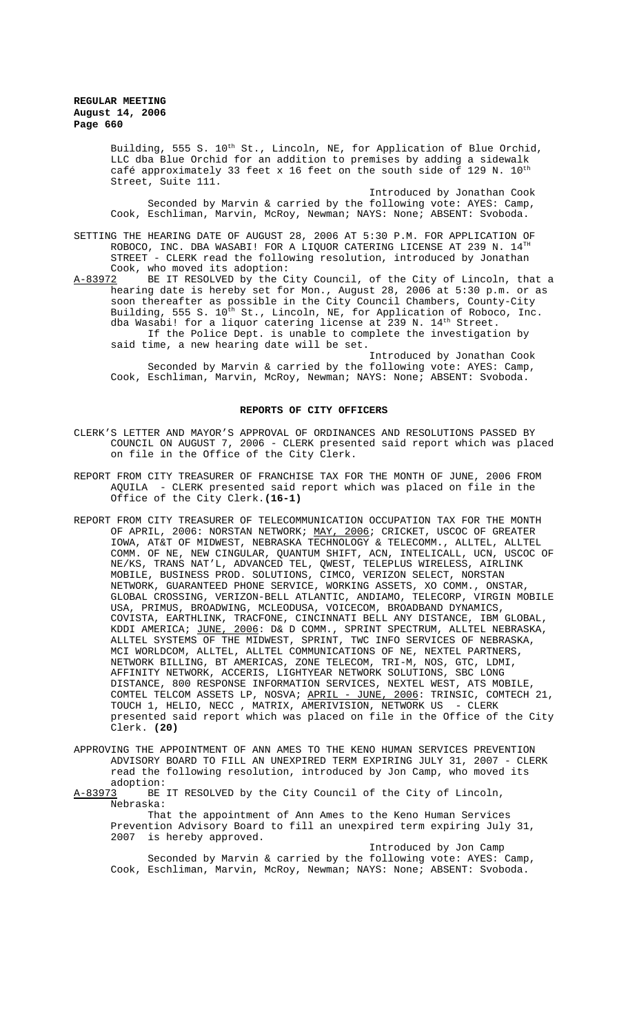Building, 555 S. 10<sup>th</sup> St., Lincoln, NE, for Application of Blue Orchid, LLC dba Blue Orchid for an addition to premises by adding a sidewalk café approximately 33 feet x 16 feet on the south side of 129 N.  $10^{th}$ Street, Suite 111.

Introduced by Jonathan Cook Seconded by Marvin & carried by the following vote: AYES: Camp, Cook, Eschliman, Marvin, McRoy, Newman; NAYS: None; ABSENT: Svoboda.

SETTING THE HEARING DATE OF AUGUST 28, 2006 AT 5:30 P.M. FOR APPLICATION OF ROBOCO, INC. DBA WASABI! FOR A LIQUOR CATERING LICENSE AT 239 N.  $14^{TH}$ STREET - CLERK read the following resolution, introduced by Jonathan Cook, who moved its adoption:<br>A-83972 BE IT RESOLVED by the C

BE IT RESOLVED by the City Council, of the City of Lincoln, that a hearing date is hereby set for Mon., August 28, 2006 at 5:30 p.m. or as soon thereafter as possible in the City Council Chambers, County-City Building, 555 S. 10<sup>th</sup> St., Lincoln, NE, for Application of Roboco, Inc. dba Wasabi! for a liquor catering license at  $239$  N.  $14<sup>th</sup>$  Street. If the Police Dept. is unable to complete the investigation by said time, a new hearing date will be set.

Introduced by Jonathan Cook Seconded by Marvin & carried by the following vote: AYES: Camp, Cook, Eschliman, Marvin, McRoy, Newman; NAYS: None; ABSENT: Svoboda.

#### **REPORTS OF CITY OFFICERS**

- CLERK'S LETTER AND MAYOR'S APPROVAL OF ORDINANCES AND RESOLUTIONS PASSED BY COUNCIL ON AUGUST 7, 2006 - CLERK presented said report which was placed on file in the Office of the City Clerk.
- REPORT FROM CITY TREASURER OF FRANCHISE TAX FOR THE MONTH OF JUNE, 2006 FROM AQUILA - CLERK presented said report which was placed on file in the Office of the City Clerk.**(16-1)**
- REPORT FROM CITY TREASURER OF TELECOMMUNICATION OCCUPATION TAX FOR THE MONTH OF APRIL, 2006: NORSTAN NETWORK; <u>MAY, 2006</u>; CRICKET, USCOC OF GREATER IOWA, AT&T OF MIDWEST, NEBRASKA TECHNOLOGY & TELECOMM., ALLTEL, ALLTEL COMM. OF NE, NEW CINGULAR, QUANTUM SHIFT, ACN, INTELICALL, UCN, USCOC OF NE/KS, TRANS NAT'L, ADVANCED TEL, QWEST, TELEPLUS WIRELESS, AIRLINK MOBILE, BUSINESS PROD. SOLUTIONS, CIMCO, VERIZON SELECT, NORSTAN NETWORK, GUARANTEED PHONE SERVICE, WORKING ASSETS, XO COMM., ONSTAR, GLOBAL CROSSING, VERIZON-BELL ATLANTIC, ANDIAMO, TELECORP, VIRGIN MOBILE USA, PRIMUS, BROADWING, MCLEODUSA, VOICECOM, BROADBAND DYNAMICS, COVISTA, EARTHLINK, TRACFONE, CINCINNATI BELL ANY DISTANCE, IBM GLOBAL, KDDI AMERICA; <u>JUNE, 2006</u>: D& D COMM., SPRINT SPECTRUM, ALLTEL NEBRASKA, ALLTEL SYSTEMS OF THE MIDWEST, SPRINT, TWC INFO SERVICES OF NEBRASKA, MCI WORLDCOM, ALLTEL, ALLTEL COMMUNICATIONS OF NE, NEXTEL PARTNERS, NETWORK BILLING, BT AMERICAS, ZONE TELECOM, TRI-M, NOS, GTC, LDMI, AFFINITY NETWORK, ACCERIS, LIGHTYEAR NETWORK SOLUTIONS, SBC LONG DISTANCE, 800 RESPONSE INFORMATION SERVICES, NEXTEL WEST, ATS MOBILE, COMTEL TELCOM ASSETS LP, NOSVA; APRIL - JUNE, 2006: TRINSIC, COMTECH 21, TOUCH 1, HELIO, NECC , MATRIX, AMERIVISION, NETWORK US - CLERK presented said report which was placed on file in the Office of the City Clerk. **(20)**
- APPROVING THE APPOINTMENT OF ANN AMES TO THE KENO HUMAN SERVICES PREVENTION ADVISORY BOARD TO FILL AN UNEXPIRED TERM EXPIRING JULY 31, 2007 - CLERK read the following resolution, introduced by Jon Camp, who moved its adoption:

A-83973 BE IT RESOLVED by the City Council of the City of Lincoln, Nebraska:

That the appointment of Ann Ames to the Keno Human Services Prevention Advisory Board to fill an unexpired term expiring July 31, 2007 is hereby approved.

Introduced by Jon Camp Seconded by Marvin & carried by the following vote: AYES: Camp, Cook, Eschliman, Marvin, McRoy, Newman; NAYS: None; ABSENT: Svoboda.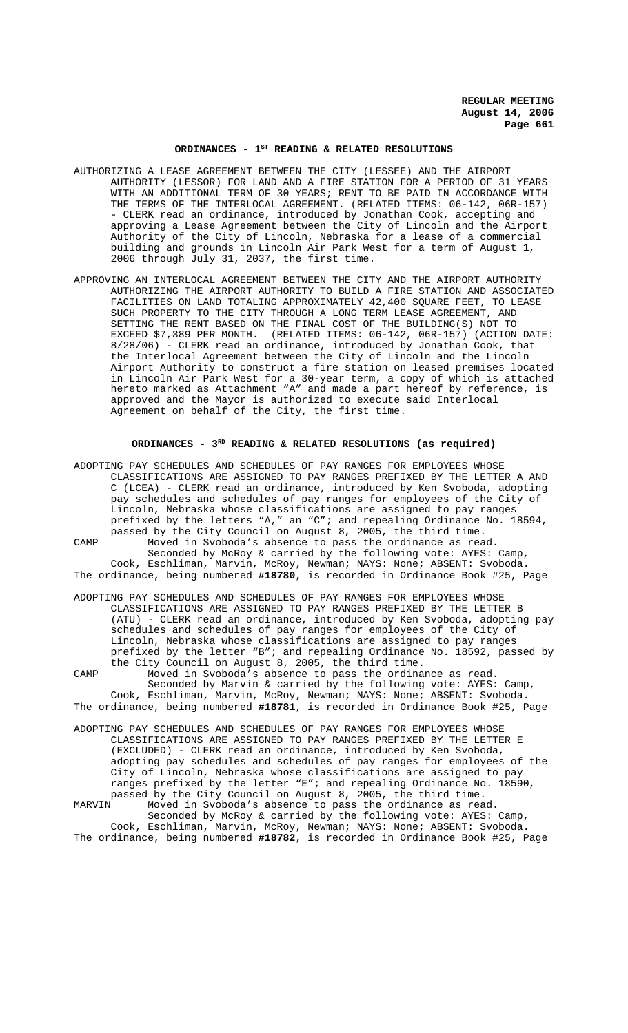# ORDINANCES - 1<sup>st</sup> READING & RELATED RESOLUTIONS

- AUTHORIZING A LEASE AGREEMENT BETWEEN THE CITY (LESSEE) AND THE AIRPORT AUTHORITY (LESSOR) FOR LAND AND A FIRE STATION FOR A PERIOD OF 31 YEARS WITH AN ADDITIONAL TERM OF 30 YEARS; RENT TO BE PAID IN ACCORDANCE WITH THE TERMS OF THE INTERLOCAL AGREEMENT. (RELATED ITEMS: 06-142, 06R-157) - CLERK read an ordinance, introduced by Jonathan Cook, accepting and approving a Lease Agreement between the City of Lincoln and the Airport Authority of the City of Lincoln, Nebraska for a lease of a commercial building and grounds in Lincoln Air Park West for a term of August 1, 2006 through July 31, 2037, the first time.
- APPROVING AN INTERLOCAL AGREEMENT BETWEEN THE CITY AND THE AIRPORT AUTHORITY AUTHORIZING THE AIRPORT AUTHORITY TO BUILD A FIRE STATION AND ASSOCIATED FACILITIES ON LAND TOTALING APPROXIMATELY 42,400 SQUARE FEET, TO LEASE SUCH PROPERTY TO THE CITY THROUGH A LONG TERM LEASE AGREEMENT, AND SETTING THE RENT BASED ON THE FINAL COST OF THE BUILDING(S) NOT TO EXCEED \$7,389 PER MONTH. (RELATED ITEMS: 06-142, 06R-157) (ACTION DATE: 8/28/06) - CLERK read an ordinance, introduced by Jonathan Cook, that the Interlocal Agreement between the City of Lincoln and the Lincoln Airport Authority to construct a fire station on leased premises located in Lincoln Air Park West for a 30-year term, a copy of which is attached hereto marked as Attachment "A" and made a part hereof by reference, is approved and the Mayor is authorized to execute said Interlocal Agreement on behalf of the City, the first time.

### **ORDINANCES - 3RD READING & RELATED RESOLUTIONS (as required)**

ADOPTING PAY SCHEDULES AND SCHEDULES OF PAY RANGES FOR EMPLOYEES WHOSE CLASSIFICATIONS ARE ASSIGNED TO PAY RANGES PREFIXED BY THE LETTER A AND C (LCEA) - CLERK read an ordinance, introduced by Ken Svoboda, adopting pay schedules and schedules of pay ranges for employees of the City of Lincoln, Nebraska whose classifications are assigned to pay ranges prefixed by the letters "A," an "C"; and repealing Ordinance No. 18594, passed by the City Council on August 8, 2005, the third time. CAMP Moved in Svoboda's absence to pass the ordinance as read. Seconded by McRoy & carried by the following vote: AYES: Camp, Cook, Eschliman, Marvin, McRoy, Newman; NAYS: None; ABSENT: Svoboda. The ordinance, being numbered **#18780**, is recorded in Ordinance Book #25, Page

ADOPTING PAY SCHEDULES AND SCHEDULES OF PAY RANGES FOR EMPLOYEES WHOSE CLASSIFICATIONS ARE ASSIGNED TO PAY RANGES PREFIXED BY THE LETTER B (ATU) - CLERK read an ordinance, introduced by Ken Svoboda, adopting pay schedules and schedules of pay ranges for employees of the City of Lincoln, Nebraska whose classifications are assigned to pay ranges prefixed by the letter "B"; and repealing Ordinance No. 18592, passed by the City Council on August 8, 2005, the third time.

CAMP Moved in Svoboda's absence to pass the ordinance as read. Seconded by Marvin & carried by the following vote: AYES: Camp, Cook, Eschliman, Marvin, McRoy, Newman; NAYS: None; ABSENT: Svoboda. The ordinance, being numbered **#18781**, is recorded in Ordinance Book #25, Page

ADOPTING PAY SCHEDULES AND SCHEDULES OF PAY RANGES FOR EMPLOYEES WHOSE CLASSIFICATIONS ARE ASSIGNED TO PAY RANGES PREFIXED BY THE LETTER E (EXCLUDED) - CLERK read an ordinance, introduced by Ken Svoboda, adopting pay schedules and schedules of pay ranges for employees of the City of Lincoln, Nebraska whose classifications are assigned to pay ranges prefixed by the letter "E"; and repealing Ordinance No. 18590, passed by the City Council on August 8, 2005, the third time. Moved in Svoboda's absence to pass the ordinance as read. Seconded by McRoy & carried by the following vote: AYES: Camp, Cook, Eschliman, Marvin, McRoy, Newman; NAYS: None; ABSENT: Svoboda. The ordinance, being numbered **#18782**, is recorded in Ordinance Book #25, Page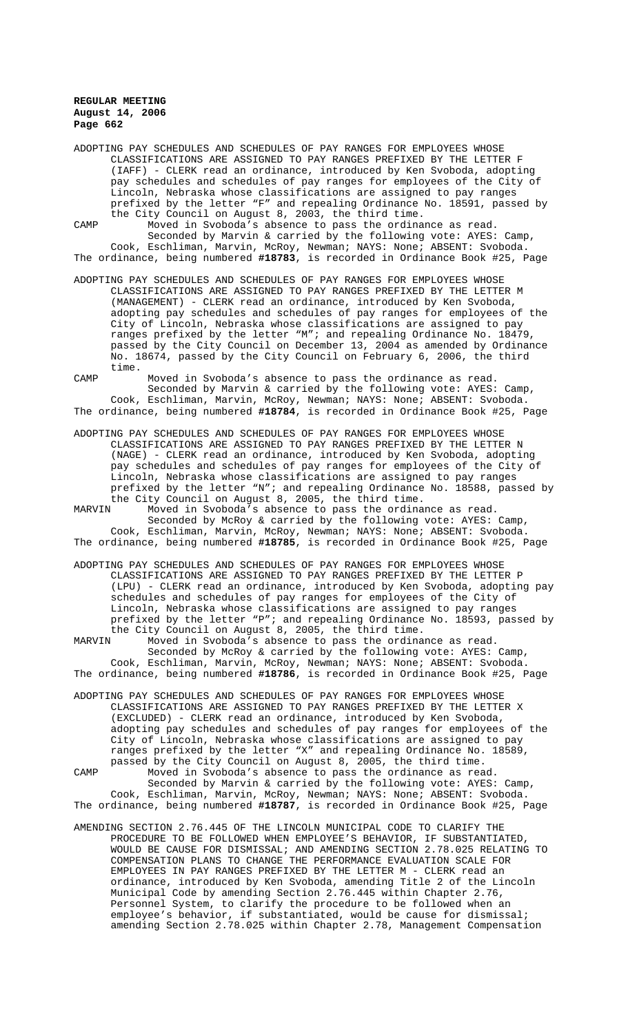ADOPTING PAY SCHEDULES AND SCHEDULES OF PAY RANGES FOR EMPLOYEES WHOSE CLASSIFICATIONS ARE ASSIGNED TO PAY RANGES PREFIXED BY THE LETTER F (IAFF) - CLERK read an ordinance, introduced by Ken Svoboda, adopting pay schedules and schedules of pay ranges for employees of the City of Lincoln, Nebraska whose classifications are assigned to pay ranges prefixed by the letter "F" and repealing Ordinance No. 18591, passed by the City Council on August 8, 2003, the third time.

CAMP Moved in Svoboda's absence to pass the ordinance as read. Seconded by Marvin & carried by the following vote: AYES: Camp, Cook, Eschliman, Marvin, McRoy, Newman; NAYS: None; ABSENT: Svoboda. The ordinance, being numbered **#18783**, is recorded in Ordinance Book #25, Page

ADOPTING PAY SCHEDULES AND SCHEDULES OF PAY RANGES FOR EMPLOYEES WHOSE CLASSIFICATIONS ARE ASSIGNED TO PAY RANGES PREFIXED BY THE LETTER M (MANAGEMENT) - CLERK read an ordinance, introduced by Ken Svoboda, adopting pay schedules and schedules of pay ranges for employees of the City of Lincoln, Nebraska whose classifications are assigned to pay ranges prefixed by the letter "M"; and repealing Ordinance No. 18479, passed by the City Council on December 13, 2004 as amended by Ordinance No. 18674, passed by the City Council on February 6, 2006, the third time.

CAMP Moved in Svoboda's absence to pass the ordinance as read. Seconded by Marvin & carried by the following vote: AYES: Camp, Cook, Eschliman, Marvin, McRoy, Newman; NAYS: None; ABSENT: Svoboda. The ordinance, being numbered **#18784**, is recorded in Ordinance Book #25, Page

- ADOPTING PAY SCHEDULES AND SCHEDULES OF PAY RANGES FOR EMPLOYEES WHOSE CLASSIFICATIONS ARE ASSIGNED TO PAY RANGES PREFIXED BY THE LETTER N (NAGE) - CLERK read an ordinance, introduced by Ken Svoboda, adopting pay schedules and schedules of pay ranges for employees of the City of Lincoln, Nebraska whose classifications are assigned to pay ranges prefixed by the letter "N"; and repealing Ordinance No. 18588, passed by the City Council on August 8, 2005, the third time.<br>MARVIN Moved in Svoboda's absence to pass the ordina
- Moved in Svoboda's absence to pass the ordinance as read. Seconded by McRoy & carried by the following vote: AYES: Camp, Cook, Eschliman, Marvin, McRoy, Newman; NAYS: None; ABSENT: Svoboda. The ordinance, being numbered **#18785**, is recorded in Ordinance Book #25, Page
- ADOPTING PAY SCHEDULES AND SCHEDULES OF PAY RANGES FOR EMPLOYEES WHOSE CLASSIFICATIONS ARE ASSIGNED TO PAY RANGES PREFIXED BY THE LETTER P (LPU) - CLERK read an ordinance, introduced by Ken Svoboda, adopting pay schedules and schedules of pay ranges for employees of the City of Lincoln, Nebraska whose classifications are assigned to pay ranges prefixed by the letter "P"; and repealing Ordinance No. 18593, passed by the City Council on August 8, 2005, the third time.<br>MARVIN Moved in Svoboda's absence to pass the ordina:

Moved in Svoboda's absence to pass the ordinance as read. Seconded by McRoy & carried by the following vote: AYES: Camp, Cook, Eschliman, Marvin, McRoy, Newman; NAYS: None; ABSENT: Svoboda. The ordinance, being numbered **#18786**, is recorded in Ordinance Book #25, Page

ADOPTING PAY SCHEDULES AND SCHEDULES OF PAY RANGES FOR EMPLOYEES WHOSE CLASSIFICATIONS ARE ASSIGNED TO PAY RANGES PREFIXED BY THE LETTER X (EXCLUDED) - CLERK read an ordinance, introduced by Ken Svoboda, adopting pay schedules and schedules of pay ranges for employees of the City of Lincoln, Nebraska whose classifications are assigned to pay ranges prefixed by the letter "X" and repealing Ordinance No. 18589, passed by the City Council on August 8, 2005, the third time.

CAMP Moved in Svoboda's absence to pass the ordinance as read. Seconded by Marvin & carried by the following vote: AYES: Camp, Cook, Eschliman, Marvin, McRoy, Newman; NAYS: None; ABSENT: Svoboda. The ordinance, being numbered **#18787**, is recorded in Ordinance Book #25, Page

AMENDING SECTION 2.76.445 OF THE LINCOLN MUNICIPAL CODE TO CLARIFY THE PROCEDURE TO BE FOLLOWED WHEN EMPLOYEE'S BEHAVIOR, IF SUBSTANTIATED, WOULD BE CAUSE FOR DISMISSAL; AND AMENDING SECTION 2.78.025 RELATING TO COMPENSATION PLANS TO CHANGE THE PERFORMANCE EVALUATION SCALE FOR EMPLOYEES IN PAY RANGES PREFIXED BY THE LETTER M - CLERK read an ordinance, introduced by Ken Svoboda, amending Title 2 of the Lincoln Municipal Code by amending Section 2.76.445 within Chapter 2.76, Personnel System, to clarify the procedure to be followed when an employee's behavior, if substantiated, would be cause for dismissal; amending Section 2.78.025 within Chapter 2.78, Management Compensation